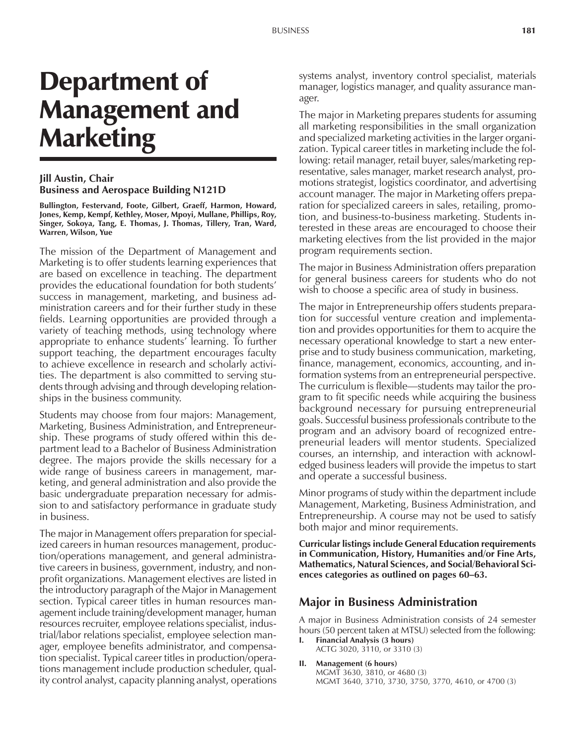# Department of Management and **Marketing**

## **Jill Austin, Chair Business and Aerospace Building N121D**

**Bullington, Festervand, Foote, Gilbert, Graeff, Harmon, Howard, Jones, Kemp, Kempf, Kethley, Moser, Mpoyi, Mullane, Phillips, Roy, Singer, Sokoya, Tang, E. Thomas, J. Thomas, Tillery, Tran, Ward, Warren, Wilson, Yue**

The mission of the Department of Management and Marketing is to offer students learning experiences that are based on excellence in teaching. The department provides the educational foundation for both students' success in management, marketing, and business administration careers and for their further study in these fields. Learning opportunities are provided through a variety of teaching methods, using technology where appropriate to enhance students' learning. To further support teaching, the department encourages faculty to achieve excellence in research and scholarly activities. The department is also committed to serving students through advising and through developing relationships in the business community.

Students may choose from four majors: Management, Marketing, Business Administration, and Entrepreneurship. These programs of study offered within this department lead to a Bachelor of Business Administration degree. The majors provide the skills necessary for a wide range of business careers in management, marketing, and general administration and also provide the basic undergraduate preparation necessary for admission to and satisfactory performance in graduate study in business.

The major in Management offers preparation for specialized careers in human resources management, production/operations management, and general administrative careers in business, government, industry, and nonprofit organizations. Management electives are listed in the introductory paragraph of the Major in Management section. Typical career titles in human resources management include training/development manager, human resources recruiter, employee relations specialist, industrial/labor relations specialist, employee selection manager, employee benefits administrator, and compensation specialist. Typical career titles in production/operations management include production scheduler, quality control analyst, capacity planning analyst, operations

systems analyst, inventory control specialist, materials manager, logistics manager, and quality assurance manager.

The major in Marketing prepares students for assuming all marketing responsibilities in the small organization and specialized marketing activities in the larger organization. Typical career titles in marketing include the following: retail manager, retail buyer, sales/marketing representative, sales manager, market research analyst, promotions strategist, logistics coordinator, and advertising account manager. The major in Marketing offers preparation for specialized careers in sales, retailing, promotion, and business-to-business marketing. Students interested in these areas are encouraged to choose their marketing electives from the list provided in the major program requirements section.

The major in Business Administration offers preparation for general business careers for students who do not wish to choose a specific area of study in business.

The major in Entrepreneurship offers students preparation for successful venture creation and implementation and provides opportunities for them to acquire the necessary operational knowledge to start a new enterprise and to study business communication, marketing, finance, management, economics, accounting, and information systems from an entrepreneurial perspective. The curriculum is flexible—students may tailor the program to fit specific needs while acquiring the business background necessary for pursuing entrepreneurial goals. Successful business professionals contribute to the program and an advisory board of recognized entrepreneurial leaders will mentor students. Specialized courses, an internship, and interaction with acknowledged business leaders will provide the impetus to start and operate a successful business.

Minor programs of study within the department include Management, Marketing, Business Administration, and Entrepreneurship. A course may not be used to satisfy both major and minor requirements.

**Curricular listings include General Education requirements in Communication, History, Humanities and/or Fine Arts, Mathematics, Natural Sciences, and Social/Behavioral Sci**ences categories as outlined on pages 60–63.

## **Major in Business Administration**

A major in Business Administration consists of 24 semester hours (50 percent taken at MTSU) selected from the following:

- **I. Financial Analysis (3 hours)** ACTG 3020, 3110, or 3310 (3)
- **II. Management (6 hours)** MGMT 3630, 3810, or 4680 (3) MGMT 3640, 3710, 3730, 3750, 3770, 4610, or 4700 (3)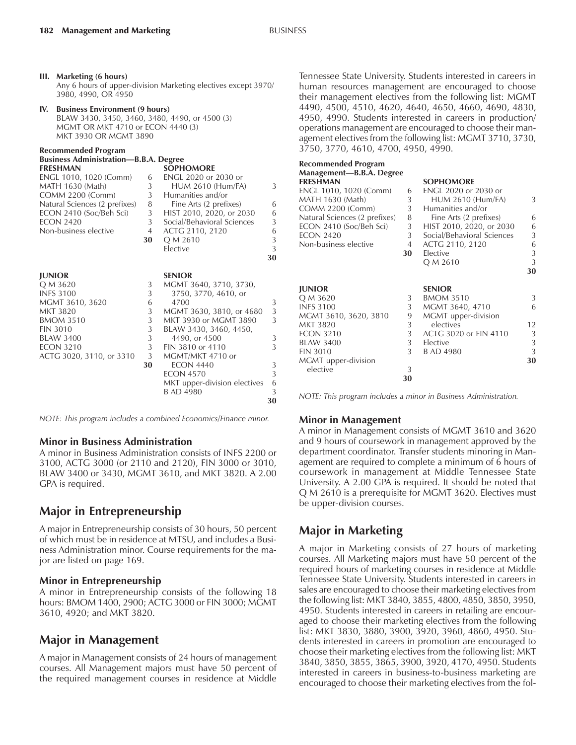**Recommended Program**

| Recommended Program                          |    |                              |    |  |  |  |  |  |
|----------------------------------------------|----|------------------------------|----|--|--|--|--|--|
| <b>Business Administration—B.B.A. Degree</b> |    |                              |    |  |  |  |  |  |
| <b>FRESHMAN</b>                              |    | <b>SOPHOMORE</b>             |    |  |  |  |  |  |
| ENGL 1010, 1020 (Comm)                       | 6  | ENGL 2020 or 2030 or         |    |  |  |  |  |  |
| MATH 1630 (Math)                             | 3  | <b>HUM 2610 (Hum/FA)</b>     | 3  |  |  |  |  |  |
| <b>COMM 2200 (Comm)</b>                      | 3  | Humanities and/or            |    |  |  |  |  |  |
| Natural Sciences (2 prefixes)                | 8  | Fine Arts (2 prefixes)       | 6  |  |  |  |  |  |
| ECON 2410 (Soc/Beh Sci)                      | 3  | HIST 2010, 2020, or 2030     | 6  |  |  |  |  |  |
| <b>ECON 2420</b>                             | 3  | Social/Behavioral Sciences   | 3  |  |  |  |  |  |
| Non-business elective                        | 4  | ACTG 2110, 2120              | 6  |  |  |  |  |  |
|                                              | 30 | Q M 2610                     | 3  |  |  |  |  |  |
|                                              |    | Elective                     | 3  |  |  |  |  |  |
|                                              |    |                              | 30 |  |  |  |  |  |
|                                              |    |                              |    |  |  |  |  |  |
| <b>JUNIOR</b>                                |    | <b>SENIOR</b>                |    |  |  |  |  |  |
| Q M 3620                                     | 3  | MGMT 3640, 3710, 3730,       |    |  |  |  |  |  |
| <b>INFS 3100</b>                             | 3  | 3750, 3770, 4610, or         |    |  |  |  |  |  |
| MGMT 3610, 3620                              | 6  | 4700                         | 3  |  |  |  |  |  |
| MKT 3820                                     | 3  | MGMT 3630, 3810, or 4680     | 3  |  |  |  |  |  |
| <b>BMOM 3510</b>                             | 3  | MKT 3930 or MGMT 3890        | 3  |  |  |  |  |  |
| <b>FIN 3010</b>                              | 3  | BLAW 3430, 3460, 4450,       |    |  |  |  |  |  |
| <b>BLAW 3400</b>                             | 3  | 4490, or 4500                | 3  |  |  |  |  |  |
| <b>ECON 3210</b>                             | 3  | FIN 3810 or 4110             | 3  |  |  |  |  |  |
| ACTG 3020, 3110, or 3310                     | 3  | MGMT/MKT 4710 or             |    |  |  |  |  |  |
|                                              | 30 | <b>ECON 4440</b>             | 3  |  |  |  |  |  |
|                                              |    | <b>ECON 4570</b>             | 3  |  |  |  |  |  |
|                                              |    | MKT upper-division electives | 6  |  |  |  |  |  |
|                                              |    | B AD 4980                    | 3  |  |  |  |  |  |
|                                              |    |                              | 30 |  |  |  |  |  |

*NOTE: This program includes a combined Economics/Finance minor.*

### **Minor in Business Administration**

A minor in Business Administration consists of INFS 2200 or 3100, ACTG 3000 (or 2110 and 2120), FIN 3000 or 3010, BLAW 3400 or 3430, MGMT 3610, and MKT 3820. A 2.00 GPA is required.

# **Major in Entrepreneurship**

A major in Entrepreneurship consists of 30 hours, 50 percent of which must be in residence at MTSU, and includes a Business Administration minor. Course requirements for the major are listed on page 169.

## **Minor in Entrepreneurship**

A minor in Entrepreneurship consists of the following 18 hours: BMOM 1400, 2900; ACTG 3000 or FIN 3000; MGMT 3610, 4920; and MKT 3820.

# **Major in Management**

A major in Management consists of 24 hours of management courses. All Management majors must have 50 percent of the required management courses in residence at Middle

Tennessee State University. Students interested in careers in human resources management are encouraged to choose their management electives from the following list: MGMT 4490, 4500, 4510, 4620, 4640, 4650, 4660, 4690, 4830, 4950, 4990. Students interested in careers in production/ operations management are encouraged to choose their management electives from the following list: MGMT 3710, 3730, 3750, 3770, 4610, 4700, 4950, 4990.

| Recommended Program<br>Management-B.B.A. Degree |    |                            |    |
|-------------------------------------------------|----|----------------------------|----|
| <b>FRESHMAN</b>                                 |    | <b>SOPHOMORE</b>           |    |
| ENGL 1010, 1020 (Comm)                          | 6  | ENGL 2020 or 2030 or       |    |
| MATH 1630 (Math)                                | 3  | <b>HUM 2610 (Hum/FA)</b>   | 3  |
| COMM 2200 (Comm)                                | 3  | Humanities and/or          |    |
| Natural Sciences (2 prefixes)                   | 8  | Fine Arts (2 prefixes)     | 6  |
| ECON 2410 (Soc/Beh Sci)                         | 3  | HIST 2010, 2020, or 2030   | 6  |
| <b>ECON 2420</b>                                | 3  | Social/Behavioral Sciences | 3  |
| Non-business elective                           | 4  | ACTG 2110, 2120            | 6  |
|                                                 | 30 | Elective                   | 3  |
|                                                 |    | Q M 2610                   | 3  |
|                                                 |    |                            | 30 |
| <b>JUNIOR</b>                                   |    | <b>SENIOR</b>              |    |
| Q M 3620                                        | 3  | <b>BMOM 3510</b>           | 3  |
| <b>INFS 3100</b>                                | 3  | MGMT 3640, 4710            | 6  |
| MGMT 3610, 3620, 3810                           | 9  | MGMT upper-division        |    |
| MKT 3820                                        | 3  | electives                  | 12 |
| <b>ECON 3210</b>                                | 3  | ACTG 3020 or FIN 4110      | 3  |
| <b>BLAW 3400</b>                                | 3  | Elective                   | 3  |
| <b>FIN 3010</b>                                 | 3  | B AD 4980                  | 3  |
| MGMT upper-division                             |    |                            | 30 |
| elective                                        | 3  |                            |    |
|                                                 | 30 |                            |    |

*NOTE: This program includes a minor in Business Administration.*

### **Minor in Management**

A minor in Management consists of MGMT 3610 and 3620 and 9 hours of coursework in management approved by the department coordinator. Transfer students minoring in Management are required to complete a minimum of 6 hours of coursework in management at Middle Tennessee State University. A 2.00 GPA is required. It should be noted that Q M 2610 is a prerequisite for MGMT 3620. Electives must be upper-division courses.

# **Major in Marketing**

A major in Marketing consists of 27 hours of marketing courses. All Marketing majors must have 50 percent of the required hours of marketing courses in residence at Middle Tennessee State University. Students interested in careers in sales are encouraged to choose their marketing electives from the following list: MKT 3840, 3855, 4800, 4850, 3850, 3950, 4950. Students interested in careers in retailing are encouraged to choose their marketing electives from the following list: MKT 3830, 3880, 3900, 3920, 3960, 4860, 4950. Students interested in careers in promotion are encouraged to choose their marketing electives from the following list: MKT 3840, 3850, 3855, 3865, 3900, 3920, 4170, 4950. Students interested in careers in business-to-business marketing are encouraged to choose their marketing electives from the fol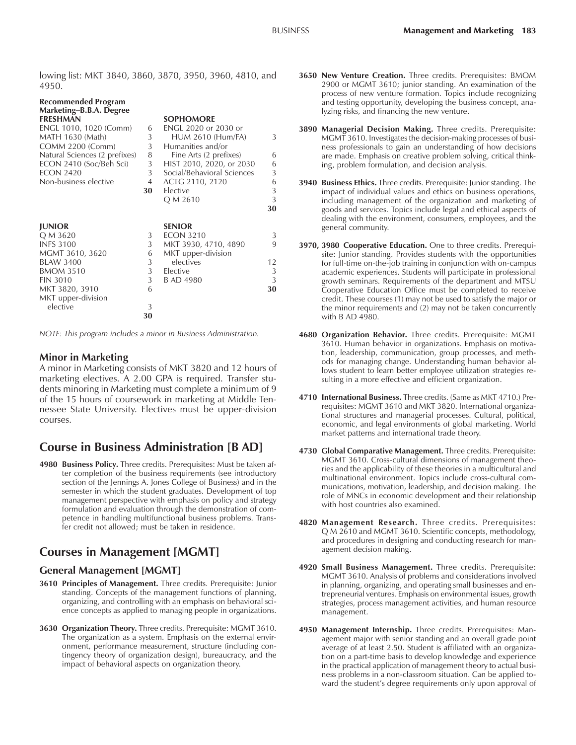lowing list: MKT 3840, 3860, 3870, 3950, 3960, 4810, and 4950.

| Recommended Program                                             |    |                            |    |  |  |  |  |
|-----------------------------------------------------------------|----|----------------------------|----|--|--|--|--|
| Marketing-B.B.A. Degree                                         |    |                            |    |  |  |  |  |
| <b>FRESHMAN</b>                                                 |    | <b>SOPHOMORE</b>           |    |  |  |  |  |
| ENGL 1010, 1020 (Comm)                                          | 6  | ENGL 2020 or 2030 or       |    |  |  |  |  |
| MATH 1630 (Math)                                                | 3  | <b>HUM 2610 (Hum/FA)</b>   | 3  |  |  |  |  |
| <b>COMM 2200 (Comm)</b>                                         | 3  | Humanities and/or          |    |  |  |  |  |
| Natural Sciences (2 prefixes)                                   | 8  | Fine Arts (2 prefixes)     | 6  |  |  |  |  |
| ECON 2410 (Soc/Beh Sci)                                         | 3  | HIST 2010, 2020, or 2030   | 6  |  |  |  |  |
| <b>ECON 2420</b>                                                | 3  | Social/Behavioral Sciences | 3  |  |  |  |  |
| Non-business elective                                           | 4  | ACTG 2110, 2120            | 6  |  |  |  |  |
|                                                                 | 30 | Elective                   | 3  |  |  |  |  |
|                                                                 |    | Q M 2610                   | 3  |  |  |  |  |
|                                                                 |    |                            | 30 |  |  |  |  |
|                                                                 |    |                            |    |  |  |  |  |
| <b>JUNIOR</b>                                                   |    | <b>SENIOR</b>              |    |  |  |  |  |
| Q M 3620                                                        | 3  | <b>ECON 3210</b>           | 3  |  |  |  |  |
| <b>INFS 3100</b>                                                | 3  | MKT 3930, 4710, 4890       | 9  |  |  |  |  |
| MGMT 3610, 3620                                                 | 6  | MKT upper-division         |    |  |  |  |  |
| <b>BLAW 3400</b>                                                | 3  | electives                  | 12 |  |  |  |  |
| <b>BMOM 3510</b>                                                | 3  | Elective                   | 3  |  |  |  |  |
| <b>FIN 3010</b>                                                 | 3  | B AD 4980                  | 3  |  |  |  |  |
| MKT 3820, 3910                                                  | 6  |                            | 30 |  |  |  |  |
| MKT upper-division                                              |    |                            |    |  |  |  |  |
| elective                                                        | 3  |                            |    |  |  |  |  |
|                                                                 | 30 |                            |    |  |  |  |  |
|                                                                 |    |                            |    |  |  |  |  |
| NOTE: This program includes a minor in Business Administration. |    |                            |    |  |  |  |  |

## **Minor in Marketing**

A minor in Marketing consists of MKT 3820 and 12 hours of marketing electives. A 2.00 GPA is required. Transfer students minoring in Marketing must complete a minimum of 9 of the 15 hours of coursework in marketing at Middle Tennessee State University. Electives must be upper-division courses.

# **Course in Business Administration [B AD]**

**4980 Business Policy.** Three credits. Prerequisites: Must be taken after completion of the business requirements (see introductory section of the Jennings A. Jones College of Business) and in the semester in which the student graduates. Development of top management perspective with emphasis on policy and strategy formulation and evaluation through the demonstration of competence in handling multifunctional business problems. Transfer credit not allowed; must be taken in residence.

# **Courses in Management [MGMT]**

## **General Management [MGMT]**

- **3610 Principles of Management.** Three credits. Prerequisite: Junior standing. Concepts of the management functions of planning, organizing, and controlling with an emphasis on behavioral science concepts as applied to managing people in organizations.
- **3630 Organization Theory.** Three credits. Prerequisite: MGMT 3610. The organization as a system. Emphasis on the external environment, performance measurement, structure (including contingency theory of organization design), bureaucracy, and the impact of behavioral aspects on organization theory.
- **3650 New Venture Creation.** Three credits. Prerequisites: BMOM 2900 or MGMT 3610; junior standing. An examination of the process of new venture formation. Topics include recognizing and testing opportunity, developing the business concept, analyzing risks, and financing the new venture.
- **3890 Managerial Decision Making.** Three credits. Prerequisite: MGMT 3610. Investigates the decision-making processes of business professionals to gain an understanding of how decisions are made. Emphasis on creative problem solving, critical thinking, problem formulation, and decision analysis.
- **3940 Business Ethics.** Three credits. Prerequisite: Junior standing. The impact of individual values and ethics on business operations, including management of the organization and marketing of goods and services. Topics include legal and ethical aspects of dealing with the environment, consumers, employees, and the general community.
- **3970, 3980 Cooperative Education.** One to three credits. Prerequisite: Junior standing. Provides students with the opportunities for full-time on-the-job training in conjunction with on-campus academic experiences. Students will participate in professional growth seminars. Requirements of the department and MTSU Cooperative Education Office must be completed to receive credit. These courses (1) may not be used to satisfy the major or the minor requirements and (2) may not be taken concurrently with B AD 4980.
- **4680 Organization Behavior.** Three credits. Prerequisite: MGMT 3610. Human behavior in organizations. Emphasis on motivation, leadership, communication, group processes, and methods for managing change. Understanding human behavior allows student to learn better employee utilization strategies resulting in a more effective and efficient organization.
- **4710 International Business.** Three credits. (Same as MKT 4710.) Prerequisites: MGMT 3610 and MKT 3820. International organizational structures and managerial processes. Cultural, political, economic, and legal environments of global marketing. World market patterns and international trade theory.
- **4730 Global Comparative Management.** Three credits. Prerequisite: MGMT 3610. Cross-cultural dimensions of management theories and the applicability of these theories in a multicultural and multinational environment. Topics include cross-cultural communications, motivation, leadership, and decision making. The role of MNCs in economic development and their relationship with host countries also examined.
- **4820 Management Research.** Three credits. Prerequisites: Q M 2610 and MGMT 3610. Scientific concepts, methodology, and procedures in designing and conducting research for management decision making.
- **4920 Small Business Management.** Three credits. Prerequisite: MGMT 3610. Analysis of problems and considerations involved in planning, organizing, and operating small businesses and entrepreneurial ventures. Emphasis on environmental issues, growth strategies, process management activities, and human resource management.
- **4950 Management Internship.** Three credits. Prerequisites: Management major with senior standing and an overall grade point average of at least 2.50. Student is affiliated with an organization on a part-time basis to develop knowledge and experience in the practical application of management theory to actual business problems in a non-classroom situation. Can be applied toward the student's degree requirements only upon approval of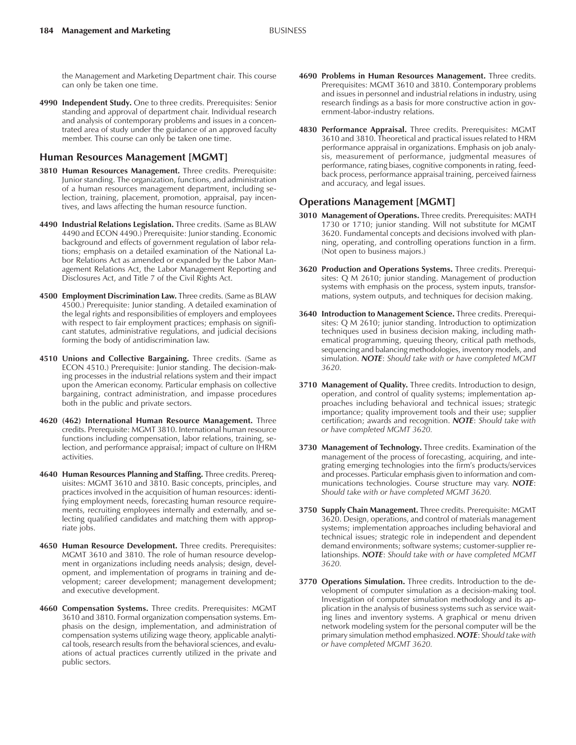the Management and Marketing Department chair. This course can only be taken one time.

**4990 Independent Study.** One to three credits. Prerequisites: Senior standing and approval of department chair. Individual research and analysis of contemporary problems and issues in a concentrated area of study under the guidance of an approved faculty member. This course can only be taken one time.

#### **Human Resources Management [MGMT]**

- **3810 Human Resources Management.** Three credits. Prerequisite: Junior standing. The organization, functions, and administration of a human resources management department, including selection, training, placement, promotion, appraisal, pay incentives, and laws affecting the human resource function.
- **4490 Industrial Relations Legislation.** Three credits. (Same as BLAW 4490 and ECON 4490.) Prerequisite: Junior standing. Economic background and effects of government regulation of labor relations; emphasis on a detailed examination of the National Labor Relations Act as amended or expanded by the Labor Management Relations Act, the Labor Management Reporting and Disclosures Act, and Title 7 of the Civil Rights Act.
- **4500 Employment Discrimination Law.** Three credits. (Same as BLAW 4500.) Prerequisite: Junior standing. A detailed examination of the legal rights and responsibilities of employers and employees with respect to fair employment practices; emphasis on significant statutes, administrative regulations, and judicial decisions forming the body of antidiscrimination law.
- **4510 Unions and Collective Bargaining.** Three credits. (Same as ECON 4510.) Prerequisite: Junior standing. The decision-making processes in the industrial relations system and their impact upon the American economy. Particular emphasis on collective bargaining, contract administration, and impasse procedures both in the public and private sectors.
- **4620 (462) International Human Resource Management.** Three credits. Prerequisite: MGMT 3810. International human resource functions including compensation, labor relations, training, selection, and performance appraisal; impact of culture on IHRM activities.
- **4640 Human Resources Planning and Staffing.** Three credits. Prerequisites: MGMT 3610 and 3810. Basic concepts, principles, and practices involved in the acquisition of human resources: identifying employment needs, forecasting human resource requirements, recruiting employees internally and externally, and selecting qualified candidates and matching them with appropriate jobs.
- **4650 Human Resource Development.** Three credits. Prerequisites: MGMT 3610 and 3810. The role of human resource development in organizations including needs analysis; design, development, and implementation of programs in training and development; career development; management development; and executive development.
- **4660 Compensation Systems.** Three credits. Prerequisites: MGMT 3610 and 3810. Formal organization compensation systems. Emphasis on the design, implementation, and administration of compensation systems utilizing wage theory, applicable analytical tools, research results from the behavioral sciences, and evaluations of actual practices currently utilized in the private and public sectors.
- **4690 Problems in Human Resources Management.** Three credits. Prerequisites: MGMT 3610 and 3810. Contemporary problems and issues in personnel and industrial relations in industry, using research findings as a basis for more constructive action in government-labor-industry relations.
- **4830 Performance Appraisal.** Three credits. Prerequisites: MGMT 3610 and 3810. Theoretical and practical issues related to HRM performance appraisal in organizations. Emphasis on job analysis, measurement of performance, judgmental measures of performance, rating biases, cognitive components in rating, feedback process, performance appraisal training, perceived fairness and accuracy, and legal issues.

#### **Operations Management [MGMT]**

- **3010 Management of Operations.** Three credits. Prerequisites: MATH 1730 or 1710; junior standing. Will not substitute for MGMT 3620. Fundamental concepts and decisions involved with planning, operating, and controlling operations function in a firm. (Not open to business majors.)
- **3620 Production and Operations Systems.** Three credits. Prerequisites: Q M 2610; junior standing. Management of production systems with emphasis on the process, system inputs, transformations, system outputs, and techniques for decision making.
- **3640 Introduction to Management Science.** Three credits. Prerequisites: Q M 2610; junior standing. Introduction to optimization techniques used in business decision making, including mathematical programming, queuing theory, critical path methods, sequencing and balancing methodologies, inventory models, and simulation. *NOTE*: *Should take with or have completed MGMT 3620.*
- **3710 Management of Quality.** Three credits. Introduction to design, operation, and control of quality systems; implementation approaches including behavioral and technical issues; strategic importance; quality improvement tools and their use; supplier certification; awards and recognition. *NOTE*: *Should take with or have completed MGMT 3620.*
- **3730 Management of Technology.** Three credits. Examination of the management of the process of forecasting, acquiring, and integrating emerging technologies into the firmís products/services and processes. Particular emphasis given to information and communications technologies. Course structure may vary. *NOTE*: *Should take with or have completed MGMT 3620.*
- **3750 Supply Chain Management.** Three credits. Prerequisite: MGMT 3620. Design, operations, and control of materials management systems; implementation approaches including behavioral and technical issues; strategic role in independent and dependent demand environments; software systems; customer-supplier relationships. *NOTE*: *Should take with or have completed MGMT 3620.*
- **3770 Operations Simulation.** Three credits. Introduction to the development of computer simulation as a decision-making tool. Investigation of computer simulation methodology and its application in the analysis of business systems such as service waiting lines and inventory systems. A graphical or menu driven network modeling system for the personal computer will be the primary simulation method emphasized. *NOTE*: *Should take with or have completed MGMT 3620.*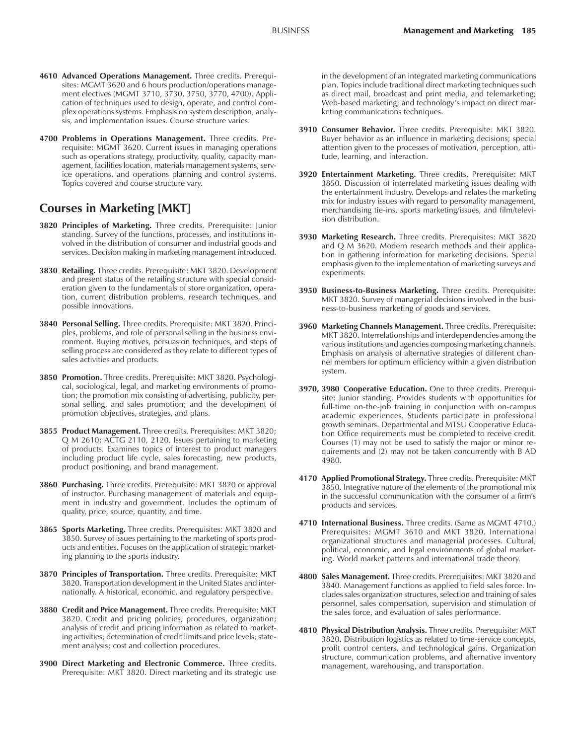- **4610 Advanced Operations Management.** Three credits. Prerequisites: MGMT 3620 and 6 hours production/operations management electives (MGMT 3710, 3730, 3750, 3770, 4700). Application of techniques used to design, operate, and control complex operations systems. Emphasis on system description, analysis, and implementation issues. Course structure varies.
- **4700 Problems in Operations Management.** Three credits. Prerequisite: MGMT 3620. Current issues in managing operations such as operations strategy, productivity, quality, capacity management, facilities location, materials management systems, service operations, and operations planning and control systems. Topics covered and course structure vary.

## **Courses in Marketing [MKT]**

- **3820 Principles of Marketing.** Three credits. Prerequisite: Junior standing. Survey of the functions, processes, and institutions involved in the distribution of consumer and industrial goods and services. Decision making in marketing management introduced.
- **3830 Retailing.** Three credits. Prerequisite: MKT 3820. Development and present status of the retailing structure with special consideration given to the fundamentals of store organization, operation, current distribution problems, research techniques, and possible innovations.
- **3840 Personal Selling.** Three credits. Prerequisite: MKT 3820. Principles, problems, and role of personal selling in the business environment. Buying motives, persuasion techniques, and steps of selling process are considered as they relate to different types of sales activities and products.
- **3850 Promotion.** Three credits. Prerequisite: MKT 3820. Psychological, sociological, legal, and marketing environments of promotion; the promotion mix consisting of advertising, publicity, personal selling, and sales promotion; and the development of promotion objectives, strategies, and plans.
- **3855 Product Management.** Three credits. Prerequisites: MKT 3820; Q M 2610; ACTG 2110, 2120. Issues pertaining to marketing of products. Examines topics of interest to product managers including product life cycle, sales forecasting, new products, product positioning, and brand management.
- **3860 Purchasing.** Three credits. Prerequisite: MKT 3820 or approval of instructor. Purchasing management of materials and equipment in industry and government. Includes the optimum of quality, price, source, quantity, and time.
- **3865 Sports Marketing.** Three credits. Prerequisites: MKT 3820 and 3850. Survey of issues pertaining to the marketing of sports products and entities. Focuses on the application of strategic marketing planning to the sports industry.
- **3870 Principles of Transportation.** Three credits. Prerequisite: MKT 3820. Transportation development in the United States and internationally. A historical, economic, and regulatory perspective.
- **3880 Credit and Price Management.** Three credits. Prerequisite: MKT 3820. Credit and pricing policies, procedures, organization; analysis of credit and pricing information as related to marketing activities; determination of credit limits and price levels; statement analysis; cost and collection procedures.
- **3900 Direct Marketing and Electronic Commerce.** Three credits. Prerequisite: MKT 3820. Direct marketing and its strategic use

in the development of an integrated marketing communications plan. Topics include traditional direct marketing techniques such as direct mail, broadcast and print media, and telemarketing; Web-based marketing; and technology's impact on direct marketing communications techniques.

- **3910 Consumer Behavior.** Three credits. Prerequisite: MKT 3820. Buyer behavior as an influence in marketing decisions; special attention given to the processes of motivation, perception, attitude, learning, and interaction.
- **3920 Entertainment Marketing.** Three credits. Prerequisite: MKT 3850. Discussion of interrelated marketing issues dealing with the entertainment industry. Develops and relates the marketing mix for industry issues with regard to personality management, merchandising tie-ins, sports marketing/issues, and film/television distribution.
- **3930 Marketing Research.** Three credits. Prerequisites: MKT 3820 and Q M 3620. Modern research methods and their application in gathering information for marketing decisions. Special emphasis given to the implementation of marketing surveys and experiments.
- **3950 Business-to-Business Marketing.** Three credits. Prerequisite: MKT 3820. Survey of managerial decisions involved in the business-to-business marketing of goods and services.
- **3960 Marketing Channels Management.** Three credits. Prerequisite: MKT 3820. Interrelationships and interdependencies among the various institutions and agencies composing marketing channels. Emphasis on analysis of alternative strategies of different channel members for optimum efficiency within a given distribution system.
- **3970, 3980 Cooperative Education.** One to three credits. Prerequisite: Junior standing. Provides students with opportunities for full-time on-the-job training in conjunction with on-campus academic experiences. Students participate in professional growth seminars. Departmental and MTSU Cooperative Education Office requirements must be completed to receive credit. Courses (1) may not be used to satisfy the major or minor requirements and (2) may not be taken concurrently with B AD 4980.
- **4170 Applied Promotional Strategy.** Three credits. Prerequisite: MKT 3850. Integrative nature of the elements of the promotional mix in the successful communication with the consumer of a firm's products and services.
- **4710 International Business.** Three credits. (Same as MGMT 4710.) Prerequisites: MGMT 3610 and MKT 3820. International organizational structures and managerial processes. Cultural, political, economic, and legal environments of global marketing. World market patterns and international trade theory.
- **4800 Sales Management.** Three credits. Prerequisites: MKT 3820 and 3840. Management functions as applied to field sales force. Includes sales organization structures, selection and training of sales personnel, sales compensation, supervision and stimulation of the sales force, and evaluation of sales performance.
- **4810 Physical Distribution Analysis.** Three credits. Prerequisite: MKT 3820. Distribution logistics as related to time-service concepts, profit control centers, and technological gains. Organization structure, communication problems, and alternative inventory management, warehousing, and transportation.